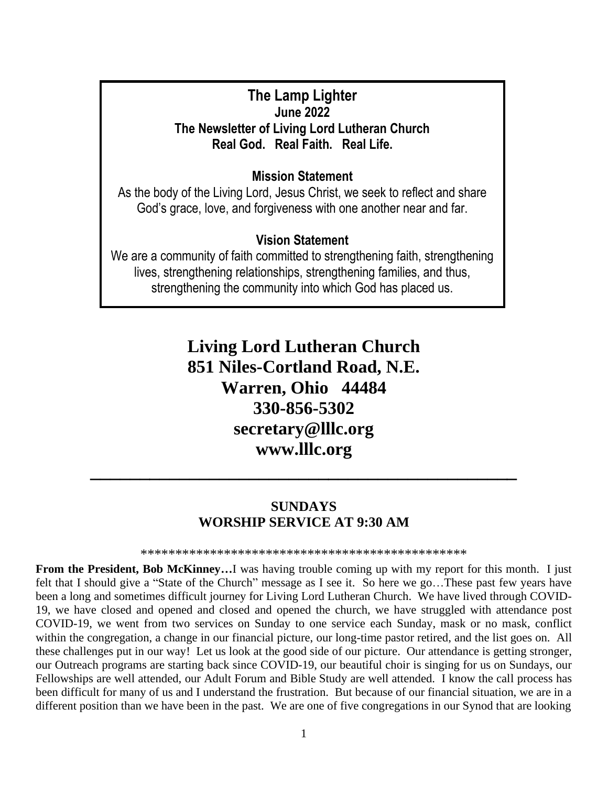# **The Lamp Lighter June 2022 The Newsletter of Living Lord Lutheran Church Real God. Real Faith. Real Life.**

# **Mission Statement**

As the body of the Living Lord, Jesus Christ, we seek to reflect and share God's grace, love, and forgiveness with one another near and far.

## **Vision Statement**

We are a community of faith committed to strengthening faith, strengthening lives, strengthening relationships, strengthening families, and thus, strengthening the community into which God has placed us.

> **Living Lord Lutheran Church 851 Niles-Cortland Road, N.E. Warren, Ohio 44484 330-856-5302 secretary@lllc.org www.lllc.org**

# **SUNDAYS WORSHIP SERVICE AT 9:30 AM**

**\_\_\_\_\_\_\_\_\_\_\_\_\_\_\_\_\_\_\_\_\_\_\_\_\_\_\_\_\_\_\_\_\_\_\_\_\_\_\_\_\_\_\_**

\*\*\*\*\*\*\*\*\*\*\*\*\*\*\*\*\*\*\*\*\*\*\*\*\*\*\*\*\*\*\*\*\*\*\*\*\*\*\*\*\*\*\*\*\*\*\*

**From the President, Bob McKinney...** I was having trouble coming up with my report for this month. I just felt that I should give a "State of the Church" message as I see it. So here we go…These past few years have been a long and sometimes difficult journey for Living Lord Lutheran Church. We have lived through COVID-19, we have closed and opened and closed and opened the church, we have struggled with attendance post COVID-19, we went from two services on Sunday to one service each Sunday, mask or no mask, conflict within the congregation, a change in our financial picture, our long-time pastor retired, and the list goes on. All these challenges put in our way! Let us look at the good side of our picture. Our attendance is getting stronger, our Outreach programs are starting back since COVID-19, our beautiful choir is singing for us on Sundays, our Fellowships are well attended, our Adult Forum and Bible Study are well attended. I know the call process has been difficult for many of us and I understand the frustration. But because of our financial situation, we are in a different position than we have been in the past. We are one of five congregations in our Synod that are looking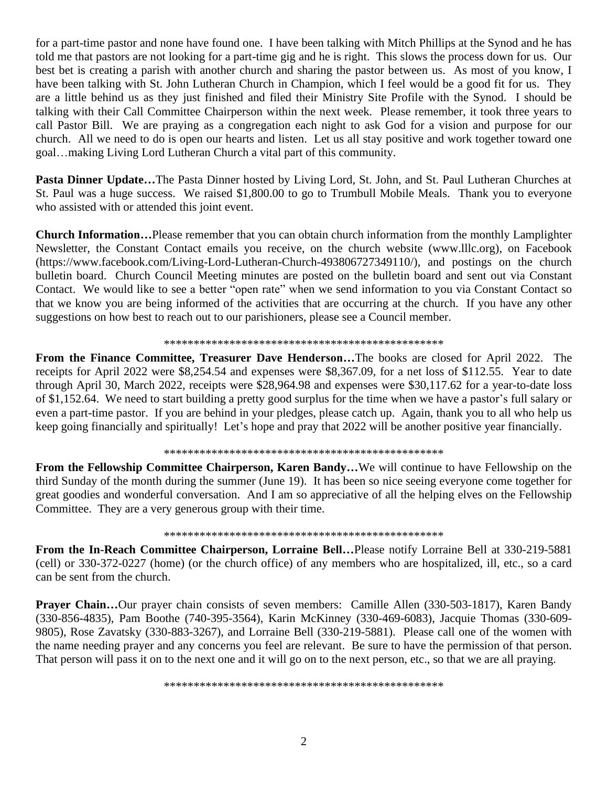for a part-time pastor and none have found one. I have been talking with Mitch Phillips at the Synod and he has told me that pastors are not looking for a part-time gig and he is right. This slows the process down for us. Our best bet is creating a parish with another church and sharing the pastor between us. As most of you know, I have been talking with St. John Lutheran Church in Champion, which I feel would be a good fit for us. They are a little behind us as they just finished and filed their Ministry Site Profile with the Synod. I should be talking with their Call Committee Chairperson within the next week. Please remember, it took three years to call Pastor Bill. We are praying as a congregation each night to ask God for a vision and purpose for our church. All we need to do is open our hearts and listen. Let us all stay positive and work together toward one goal…making Living Lord Lutheran Church a vital part of this community.

**Pasta Dinner Update…**The Pasta Dinner hosted by Living Lord, St. John, and St. Paul Lutheran Churches at St. Paul was a huge success. We raised \$1,800.00 to go to Trumbull Mobile Meals. Thank you to everyone who assisted with or attended this joint event.

**Church Information…**Please remember that you can obtain church information from the monthly Lamplighter Newsletter, the Constant Contact emails you receive, on the church website (www.lllc.org), on Facebook (https://www.facebook.com/Living-Lord-Lutheran-Church-493806727349110/), and postings on the church bulletin board. Church Council Meeting minutes are posted on the bulletin board and sent out via Constant Contact. We would like to see a better "open rate" when we send information to you via Constant Contact so that we know you are being informed of the activities that are occurring at the church. If you have any other suggestions on how best to reach out to our parishioners, please see a Council member.

#### \*\*\*\*\*\*\*\*\*\*\*\*\*\*\*\*\*\*\*\*\*\*\*\*\*\*\*\*\*\*\*\*\*\*\*\*\*\*\*\*\*\*\*\*\*\*\*

**From the Finance Committee, Treasurer Dave Henderson…**The books are closed for April 2022. The receipts for April 2022 were \$8,254.54 and expenses were \$8,367.09, for a net loss of \$112.55. Year to date through April 30, March 2022, receipts were \$28,964.98 and expenses were \$30,117.62 for a year-to-date loss of \$1,152.64. We need to start building a pretty good surplus for the time when we have a pastor's full salary or even a part-time pastor. If you are behind in your pledges, please catch up. Again, thank you to all who help us keep going financially and spiritually! Let's hope and pray that 2022 will be another positive year financially.

#### \*\*\*\*\*\*\*\*\*\*\*\*\*\*\*\*\*\*\*\*\*\*\*\*\*\*\*\*\*\*\*\*\*\*\*\*\*\*\*\*\*\*\*\*\*\*\*

**From the Fellowship Committee Chairperson, Karen Bandy…**We will continue to have Fellowship on the third Sunday of the month during the summer (June 19). It has been so nice seeing everyone come together for great goodies and wonderful conversation. And I am so appreciative of all the helping elves on the Fellowship Committee. They are a very generous group with their time.

#### \*\*\*\*\*\*\*\*\*\*\*\*\*\*\*\*\*\*\*\*\*\*\*\*\*\*\*\*\*\*\*\*\*\*\*\*\*\*\*\*\*\*\*\*\*\*\*

**From the In-Reach Committee Chairperson, Lorraine Bell…**Please notify Lorraine Bell at 330-219-5881 (cell) or 330-372-0227 (home) (or the church office) of any members who are hospitalized, ill, etc., so a card can be sent from the church.

**Prayer Chain...**Our prayer chain consists of seven members: Camille Allen (330-503-1817), Karen Bandy (330-856-4835), Pam Boothe (740-395-3564), Karin McKinney (330-469-6083), Jacquie Thomas (330-609- 9805), Rose Zavatsky (330-883-3267), and Lorraine Bell (330-219-5881). Please call one of the women with the name needing prayer and any concerns you feel are relevant. Be sure to have the permission of that person. That person will pass it on to the next one and it will go on to the next person, etc., so that we are all praying.

\*\*\*\*\*\*\*\*\*\*\*\*\*\*\*\*\*\*\*\*\*\*\*\*\*\*\*\*\*\*\*\*\*\*\*\*\*\*\*\*\*\*\*\*\*\*\*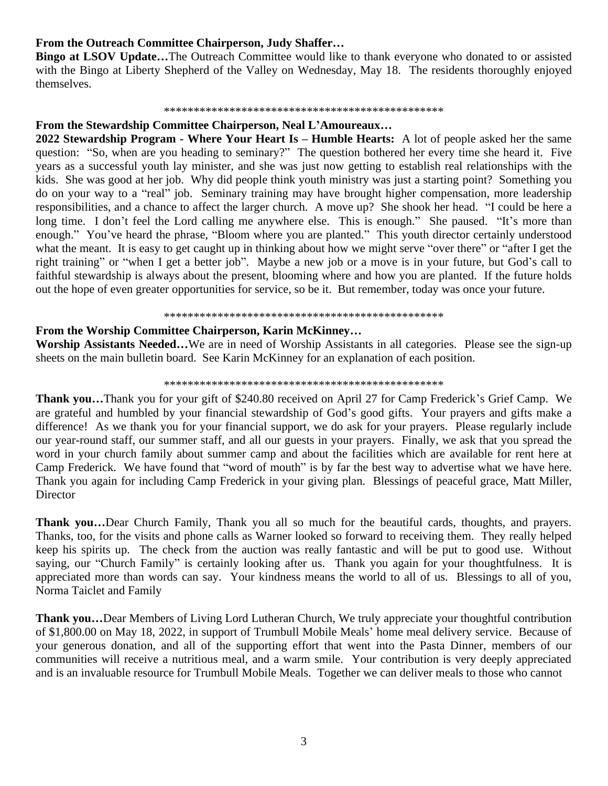### **From the Outreach Committee Chairperson, Judy Shaffer…**

**Bingo at LSOV Update...**The Outreach Committee would like to thank everyone who donated to or assisted with the Bingo at Liberty Shepherd of the Valley on Wednesday, May 18. The residents thoroughly enjoyed themselves.

#### \*\*\*\*\*\*\*\*\*\*\*\*\*\*\*\*\*\*\*\*\*\*\*\*\*\*\*\*\*\*\*\*\*\*\*\*\*\*\*\*\*\*\*\*\*\*\*

## **From the Stewardship Committee Chairperson, Neal L'Amoureaux…**

**2022 Stewardship Program - Where Your Heart Is – Humble Hearts:** A lot of people asked her the same question: "So, when are you heading to seminary?" The question bothered her every time she heard it. Five years as a successful youth lay minister, and she was just now getting to establish real relationships with the kids. She was good at her job. Why did people think youth ministry was just a starting point? Something you do on your way to a "real" job. Seminary training may have brought higher compensation, more leadership responsibilities, and a chance to affect the larger church. A move up? She shook her head. "I could be here a long time. I don't feel the Lord calling me anywhere else. This is enough." She paused. "It's more than enough." You've heard the phrase, "Bloom where you are planted." This youth director certainly understood what the meant. It is easy to get caught up in thinking about how we might serve "over there" or "after I get the right training" or "when I get a better job". Maybe a new job or a move is in your future, but God's call to faithful stewardship is always about the present, blooming where and how you are planted. If the future holds out the hope of even greater opportunities for service, so be it. But remember, today was once your future.

#### \*\*\*\*\*\*\*\*\*\*\*\*\*\*\*\*\*\*\*\*\*\*\*\*\*\*\*\*\*\*\*\*\*\*\*\*\*\*\*\*\*\*\*\*\*\*\*

## **From the Worship Committee Chairperson, Karin McKinney…**

**Worship Assistants Needed…**We are in need of Worship Assistants in all categories. Please see the sign-up sheets on the main bulletin board. See Karin McKinney for an explanation of each position.

#### \*\*\*\*\*\*\*\*\*\*\*\*\*\*\*\*\*\*\*\*\*\*\*\*\*\*\*\*\*\*\*\*\*\*\*\*\*\*\*\*\*\*\*\*\*\*\*

**Thank you…**Thank you for your gift of \$240.80 received on April 27 for Camp Frederick's Grief Camp. We are grateful and humbled by your financial stewardship of God's good gifts. Your prayers and gifts make a difference! As we thank you for your financial support, we do ask for your prayers. Please regularly include our year-round staff, our summer staff, and all our guests in your prayers. Finally, we ask that you spread the word in your church family about summer camp and about the facilities which are available for rent here at Camp Frederick. We have found that "word of mouth" is by far the best way to advertise what we have here. Thank you again for including Camp Frederick in your giving plan. Blessings of peaceful grace, Matt Miller, Director

**Thank you…**Dear Church Family, Thank you all so much for the beautiful cards, thoughts, and prayers. Thanks, too, for the visits and phone calls as Warner looked so forward to receiving them. They really helped keep his spirits up. The check from the auction was really fantastic and will be put to good use. Without saying, our "Church Family" is certainly looking after us. Thank you again for your thoughtfulness. It is appreciated more than words can say. Your kindness means the world to all of us. Blessings to all of you, Norma Taiclet and Family

**Thank you…**Dear Members of Living Lord Lutheran Church, We truly appreciate your thoughtful contribution of \$1,800.00 on May 18, 2022, in support of Trumbull Mobile Meals' home meal delivery service. Because of your generous donation, and all of the supporting effort that went into the Pasta Dinner, members of our communities will receive a nutritious meal, and a warm smile. Your contribution is very deeply appreciated and is an invaluable resource for Trumbull Mobile Meals. Together we can deliver meals to those who cannot